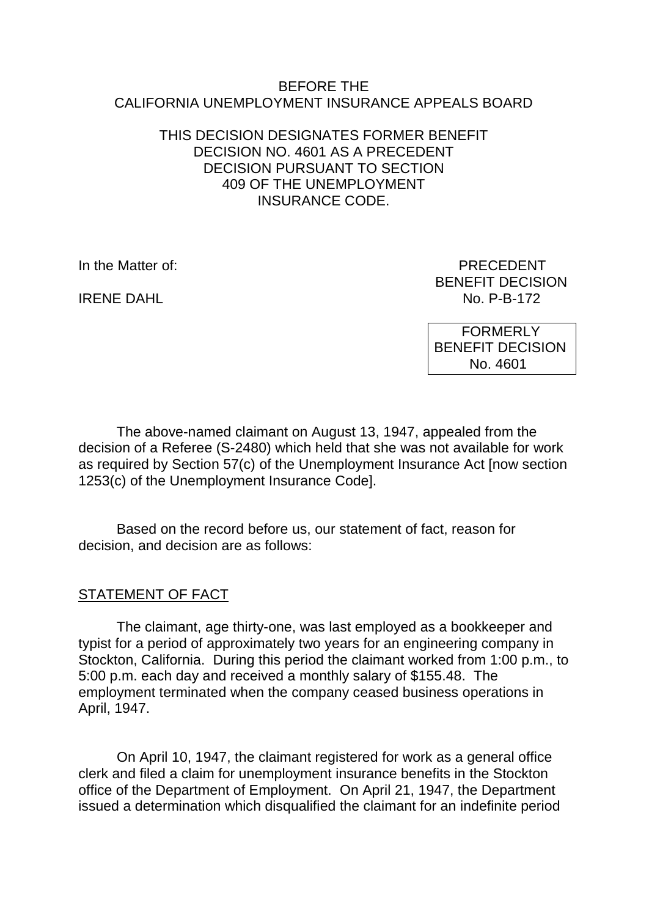#### BEFORE THE CALIFORNIA UNEMPLOYMENT INSURANCE APPEALS BOARD

### THIS DECISION DESIGNATES FORMER BENEFIT DECISION NO. 4601 AS A PRECEDENT DECISION PURSUANT TO SECTION 409 OF THE UNEMPLOYMENT INSURANCE CODE.

**IRENE DAHL** 

In the Matter of: PRECEDENT BENEFIT DECISION<br>No. P-B-172

> FORMERLY BENEFIT DECISION No. 4601

The above-named claimant on August 13, 1947, appealed from the decision of a Referee (S-2480) which held that she was not available for work as required by Section 57(c) of the Unemployment Insurance Act [now section 1253(c) of the Unemployment Insurance Code].

Based on the record before us, our statement of fact, reason for decision, and decision are as follows:

# STATEMENT OF FACT

The claimant, age thirty-one, was last employed as a bookkeeper and typist for a period of approximately two years for an engineering company in Stockton, California. During this period the claimant worked from 1:00 p.m., to 5:00 p.m. each day and received a monthly salary of \$155.48. The employment terminated when the company ceased business operations in April, 1947.

On April 10, 1947, the claimant registered for work as a general office clerk and filed a claim for unemployment insurance benefits in the Stockton office of the Department of Employment. On April 21, 1947, the Department issued a determination which disqualified the claimant for an indefinite period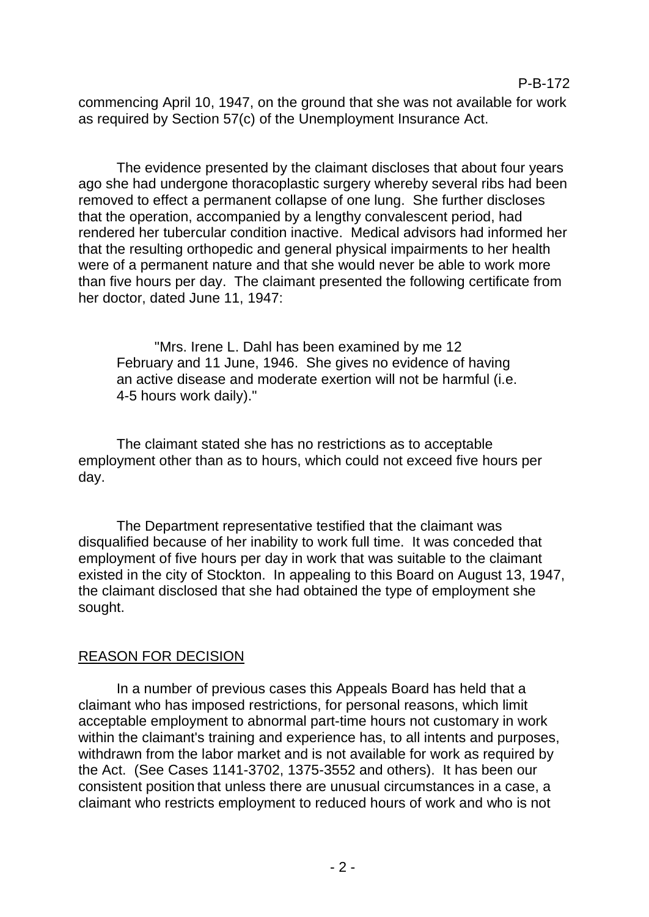commencing April 10, 1947, on the ground that she was not available for work as required by Section 57(c) of the Unemployment Insurance Act.

The evidence presented by the claimant discloses that about four years ago she had undergone thoracoplastic surgery whereby several ribs had been removed to effect a permanent collapse of one lung. She further discloses that the operation, accompanied by a lengthy convalescent period, had rendered her tubercular condition inactive. Medical advisors had informed her that the resulting orthopedic and general physical impairments to her health were of a permanent nature and that she would never be able to work more than five hours per day. The claimant presented the following certificate from her doctor, dated June 11, 1947:

"Mrs. Irene L. Dahl has been examined by me 12 February and 11 June, 1946. She gives no evidence of having an active disease and moderate exertion will not be harmful (i.e. 4-5 hours work daily)."

The claimant stated she has no restrictions as to acceptable employment other than as to hours, which could not exceed five hours per day.

The Department representative testified that the claimant was disqualified because of her inability to work full time. It was conceded that employment of five hours per day in work that was suitable to the claimant existed in the city of Stockton. In appealing to this Board on August 13, 1947, the claimant disclosed that she had obtained the type of employment she sought.

### REASON FOR DECISION

In a number of previous cases this Appeals Board has held that a claimant who has imposed restrictions, for personal reasons, which limit acceptable employment to abnormal part-time hours not customary in work within the claimant's training and experience has, to all intents and purposes, withdrawn from the labor market and is not available for work as required by the Act. (See Cases 1141-3702, 1375-3552 and others). It has been our consistent position that unless there are unusual circumstances in a case, a claimant who restricts employment to reduced hours of work and who is not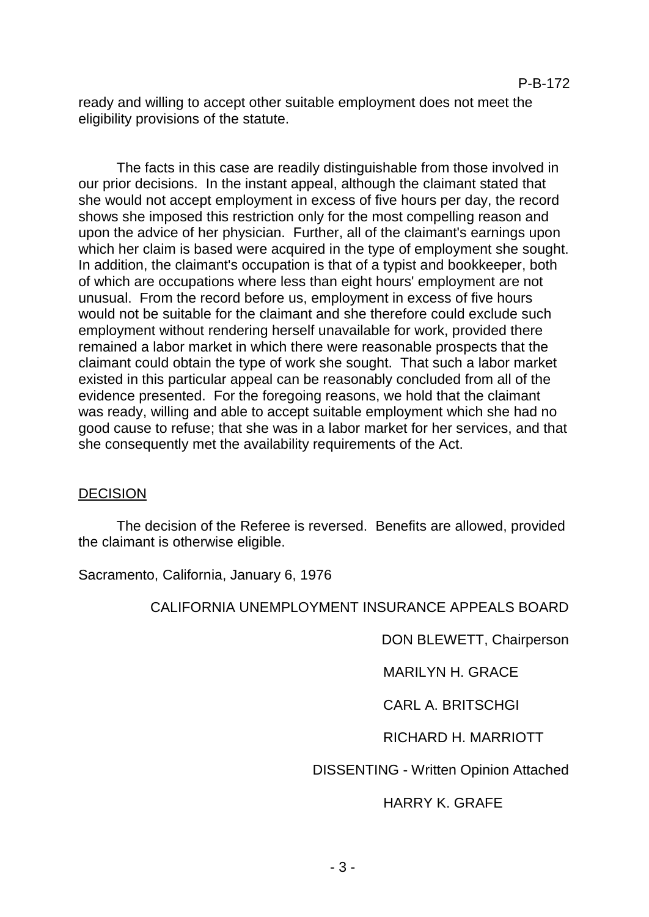ready and willing to accept other suitable employment does not meet the eligibility provisions of the statute.

The facts in this case are readily distinguishable from those involved in our prior decisions. In the instant appeal, although the claimant stated that she would not accept employment in excess of five hours per day, the record shows she imposed this restriction only for the most compelling reason and upon the advice of her physician. Further, all of the claimant's earnings upon which her claim is based were acquired in the type of employment she sought. In addition, the claimant's occupation is that of a typist and bookkeeper, both of which are occupations where less than eight hours' employment are not unusual. From the record before us, employment in excess of five hours would not be suitable for the claimant and she therefore could exclude such employment without rendering herself unavailable for work, provided there remained a labor market in which there were reasonable prospects that the claimant could obtain the type of work she sought. That such a labor market existed in this particular appeal can be reasonably concluded from all of the evidence presented. For the foregoing reasons, we hold that the claimant was ready, willing and able to accept suitable employment which she had no good cause to refuse; that she was in a labor market for her services, and that she consequently met the availability requirements of the Act.

### DECISION

The decision of the Referee is reversed. Benefits are allowed, provided the claimant is otherwise eligible.

Sacramento, California, January 6, 1976

### CALIFORNIA UNEMPLOYMENT INSURANCE APPEALS BOARD

DON BLEWETT, Chairperson

MARILYN H. GRACE

CARL A. BRITSCHGI

# RICHARD H. MARRIOTT

### DISSENTING - Written Opinion Attached

### HARRY K. GRAFE